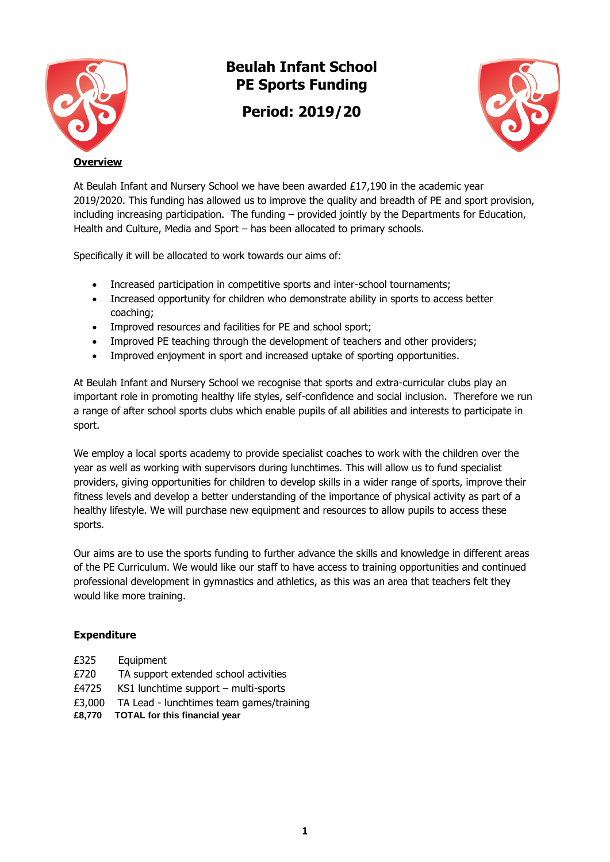

## **Beulah Infant School PE Sports Funding**

**Period: 2019/20**



At Beulah Infant and Nursery School we have been awarded £17,190 in the academic year 2019/2020. This funding has allowed us to improve the quality and breadth of PE and sport provision, including increasing participation. The funding – provided jointly by the Departments for Education, Health and Culture, Media and Sport – has been allocated to primary schools.

Specifically it will be allocated to work towards our aims of:

- Increased participation in competitive sports and inter-school tournaments;
- Increased opportunity for children who demonstrate ability in sports to access better coaching;
- Improved resources and facilities for PE and school sport;
- Improved PE teaching through the development of teachers and other providers;
- Improved enjoyment in sport and increased uptake of sporting opportunities.

At Beulah Infant and Nursery School we recognise that sports and extra-curricular clubs play an important role in promoting healthy life styles, self-confidence and social inclusion. Therefore we run a range of after school sports clubs which enable pupils of all abilities and interests to participate in sport.

We employ a local sports academy to provide specialist coaches to work with the children over the year as well as working with supervisors during lunchtimes. This will allow us to fund specialist providers, giving opportunities for children to develop skills in a wider range of sports, improve their fitness levels and develop a better understanding of the importance of physical activity as part of a healthy lifestyle. We will purchase new equipment and resources to allow pupils to access these sports.

Our aims are to use the sports funding to further advance the skills and knowledge in different areas of the PE Curriculum. We would like our staff to have access to training opportunities and continued professional development in gymnastics and athletics, as this was an area that teachers felt they would like more training.

## **Expenditure**

- £325 Equipment
- £720 TA support extended school activities
- £4725 KS1 lunchtime support multi-sports
- £3,000 TA Lead lunchtimes team games/training
- **£8,770 TOTAL for this financial year**